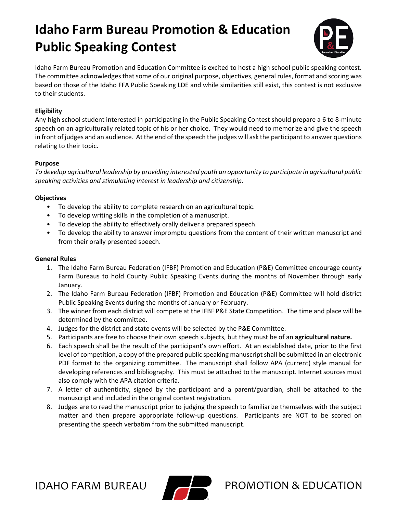## **Idaho Farm Bureau Promotion & Education Public Speaking Contest**



Idaho Farm Bureau Promotion and Education Committee is excited to host a high school public speaking contest. The committee acknowledges that some of our original purpose, objectives, general rules, format and scoring was based on those of the Idaho FFA Public Speaking LDE and while similarities still exist, this contest is not exclusive to their students.

#### **Eligibility**

Any high school student interested in participating in the Public Speaking Contest should prepare a 6 to 8-minute speech on an agriculturally related topic of his or her choice. They would need to memorize and give the speech in front of judges and an audience. At the end of the speech the judges will ask the participant to answer questions relating to their topic.

#### **Purpose**

*To develop agricultural leadership by providing interested youth an opportunity to participate in agricultural public speaking activities and stimulating interest in leadership and citizenship.*

#### **Objectives**

- To develop the ability to complete research on an agricultural topic.
- To develop writing skills in the completion of a manuscript.
- To develop the ability to effectively orally deliver a prepared speech.
- To develop the ability to answer impromptu questions from the content of their written manuscript and from their orally presented speech.

#### **General Rules**

- 1. The Idaho Farm Bureau Federation (IFBF) Promotion and Education (P&E) Committee encourage county Farm Bureaus to hold County Public Speaking Events during the months of November through early January.
- 2. The Idaho Farm Bureau Federation (IFBF) Promotion and Education (P&E) Committee will hold district Public Speaking Events during the months of January or February.
- 3. The winner from each district will compete at the IFBF P&E State Competition. The time and place will be determined by the committee.
- 4. Judges for the district and state events will be selected by the P&E Committee.
- 5. Participants are free to choose their own speech subjects, but they must be of an **agricultural nature.**
- 6. Each speech shall be the result of the participant's own effort. At an established date, prior to the first level of competition, a copy of the prepared public speaking manuscript shall be submitted in an electronic PDF format to the organizing committee. The manuscript shall follow APA (current) style manual for developing references and bibliography. This must be attached to the manuscript. Internet sources must also comply with the APA citation criteria.
- 7. A letter of authenticity, signed by the participant and a parent/guardian, shall be attached to the manuscript and included in the original contest registration.
- 8. Judges are to read the manuscript prior to judging the speech to familiarize themselves with the subject matter and then prepare appropriate follow-up questions. Participants are NOT to be scored on presenting the speech verbatim from the submitted manuscript.



IDAHO FARM BUREAU  $\blacksquare$  PROMOTION & EDUCATION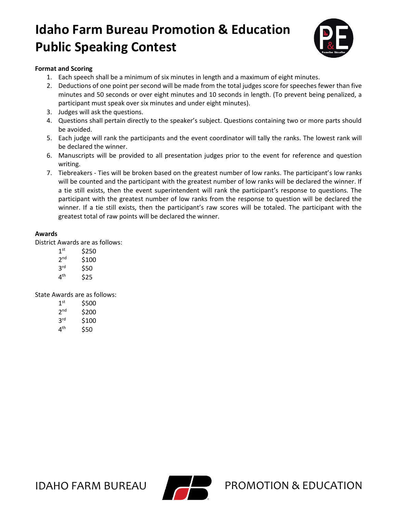# **Idaho Farm Bureau Promotion & Education Public Speaking Contest**



#### **Format and Scoring**

- 1. Each speech shall be a minimum of six minutes in length and a maximum of eight minutes.
- 2. Deductions of one point per second will be made from the total judges score for speeches fewer than five minutes and 50 seconds or over eight minutes and 10 seconds in length. (To prevent being penalized, a participant must speak over six minutes and under eight minutes).
- 3. Judges will ask the questions.
- 4. Questions shall pertain directly to the speaker's subject. Questions containing two or more parts should be avoided.
- 5. Each judge will rank the participants and the event coordinator will tally the ranks. The lowest rank will be declared the winner.
- 6. Manuscripts will be provided to all presentation judges prior to the event for reference and question writing.
- 7. Tiebreakers Ties will be broken based on the greatest number of low ranks. The participant's low ranks will be counted and the participant with the greatest number of low ranks will be declared the winner. If a tie still exists, then the event superintendent will rank the participant's response to questions. The participant with the greatest number of low ranks from the response to question will be declared the winner. If a tie still exists, then the participant's raw scores will be totaled. The participant with the greatest total of raw points will be declared the winner.

#### **Awards**

District Awards are as follows:

| 1 <sup>st</sup> | \$250 |
|-----------------|-------|
| 2 <sub>nd</sub> | \$100 |
| 3 <sup>rd</sup> | \$50  |
| 4 <sup>th</sup> | \$25  |

State Awards are as follows:

| 1 <sup>st</sup> | \$500 |
|-----------------|-------|
| 2 <sub>nd</sub> | \$200 |
| 3 <sup>rd</sup> | \$100 |
| 4 <sup>th</sup> | \$50  |



IDAHO FARM BUREAU  $\blacksquare$  PROMOTION & EDUCATION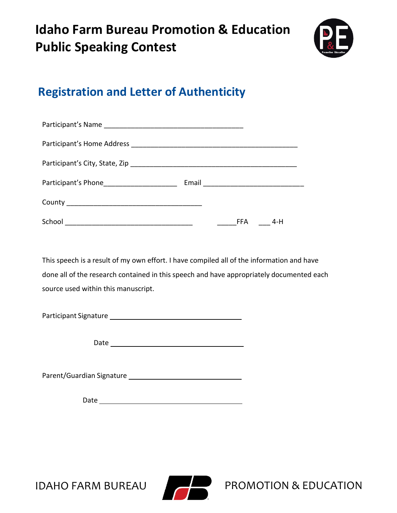# **Idaho Farm Bureau Promotion & Education Public Speaking Contest**



## **Registration and Letter of Authenticity**

| School | FFA | 4-H |  |
|--------|-----|-----|--|

This speech is a result of my own effort. I have compiled all of the information and have done all of the research contained in this speech and have appropriately documented each source used within this manuscript.

Participant Signature

Date

Parent/Guardian Signature

Date



IDAHO FARM BUREAU  $\blacksquare$  PROMOTION & EDUCATION